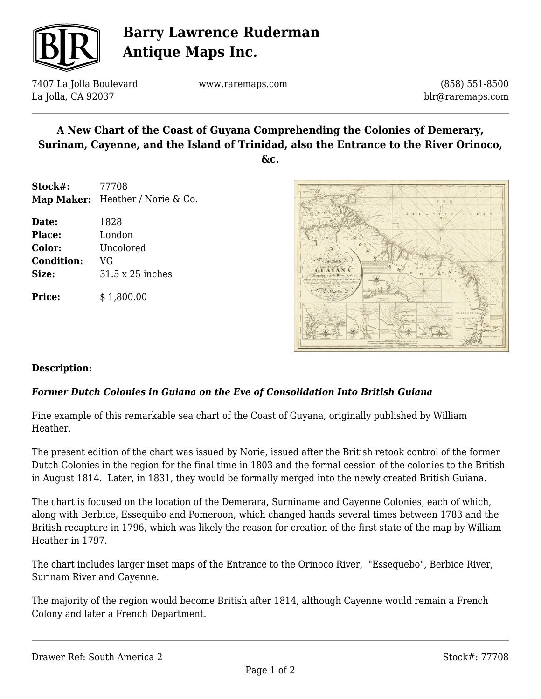

## **Barry Lawrence Ruderman Antique Maps Inc.**

7407 La Jolla Boulevard La Jolla, CA 92037

www.raremaps.com

(858) 551-8500 blr@raremaps.com

# **A New Chart of the Coast of Guyana Comprehending the Colonies of Demerary, Surinam, Cayenne, and the Island of Trinidad, also the Entrance to the River Orinoco,**

**&c.**

| Stock#: | 77708                            |
|---------|----------------------------------|
|         | Map Maker: Heather / Norie & Co. |

**Date:** 1828 **Place:** London **Color:** Uncolored **Condition:** VG **Size:** 31.5 x 25 inches

**Price:**  $$ 1,800.00$ 



#### **Description:**

### *Former Dutch Colonies in Guiana on the Eve of Consolidation Into British Guiana*

Fine example of this remarkable sea chart of the Coast of Guyana, originally published by William Heather.

The present edition of the chart was issued by Norie, issued after the British retook control of the former Dutch Colonies in the region for the final time in 1803 and the formal cession of the colonies to the British in August 1814. Later, in 1831, they would be formally merged into the newly created British Guiana.

The chart is focused on the location of the Demerara, Surniname and Cayenne Colonies, each of which, along with Berbice, Essequibo and Pomeroon, which changed hands several times between 1783 and the British recapture in 1796, which was likely the reason for creation of the first state of the map by William Heather in 1797.

The chart includes larger inset maps of the Entrance to the Orinoco River, "Essequebo", Berbice River, Surinam River and Cayenne.

The majority of the region would become British after 1814, although Cayenne would remain a French Colony and later a French Department.